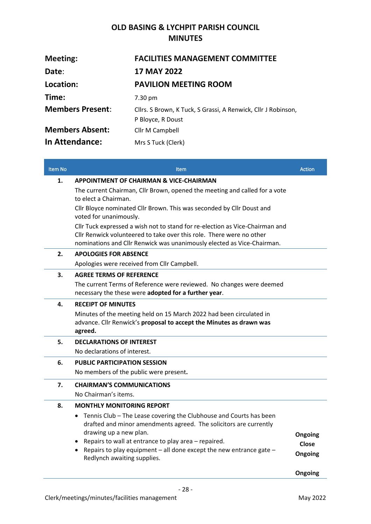## **OLD BASING & LYCHPIT PARISH COUNCIL MINUTES**

| <b>Meeting:</b>         | <b>FACILITIES MANAGEMENT COMMITTEE</b>                                             |
|-------------------------|------------------------------------------------------------------------------------|
| Date:                   | <b>17 MAY 2022</b>                                                                 |
| Location:               | <b>PAVILION MEETING ROOM</b>                                                       |
| Time:                   | 7.30 pm                                                                            |
| <b>Members Present:</b> | Cllrs. S Brown, K Tuck, S Grassi, A Renwick, Cllr J Robinson,<br>P Bloyce, R Doust |
| <b>Members Absent:</b>  | Cllr M Campbell                                                                    |
| In Attendance:          | Mrs S Tuck (Clerk)                                                                 |

| <b>Item No</b> | <b>Item</b>                                                                                                                                           | <b>Action</b>           |
|----------------|-------------------------------------------------------------------------------------------------------------------------------------------------------|-------------------------|
| 1.             | <b>APPOINTMENT OF CHAIRMAN &amp; VICE-CHAIRMAN</b>                                                                                                    |                         |
|                | The current Chairman, Cllr Brown, opened the meeting and called for a vote<br>to elect a Chairman.                                                    |                         |
|                | Cllr Bloyce nominated Cllr Brown. This was seconded by Cllr Doust and<br>voted for unanimously.                                                       |                         |
|                | Cllr Tuck expressed a wish not to stand for re-election as Vice-Chairman and                                                                          |                         |
|                | Cllr Renwick volunteered to take over this role. There were no other<br>nominations and Cllr Renwick was unanimously elected as Vice-Chairman.        |                         |
| 2.             | <b>APOLOGIES FOR ABSENCE</b>                                                                                                                          |                         |
|                | Apologies were received from Cllr Campbell.                                                                                                           |                         |
| 3.             | <b>AGREE TERMS OF REFERENCE</b>                                                                                                                       |                         |
|                | The current Terms of Reference were reviewed. No changes were deemed                                                                                  |                         |
|                | necessary the these were adopted for a further year.                                                                                                  |                         |
| 4.             | <b>RECEIPT OF MINUTES</b>                                                                                                                             |                         |
|                | Minutes of the meeting held on 15 March 2022 had been circulated in<br>advance. Cllr Renwick's proposal to accept the Minutes as drawn was<br>agreed. |                         |
| 5.             | <b>DECLARATIONS OF INTEREST</b>                                                                                                                       |                         |
|                | No declarations of interest.                                                                                                                          |                         |
| 6.             | <b>PUBLIC PARTICIPATION SESSION</b>                                                                                                                   |                         |
|                | No members of the public were present.                                                                                                                |                         |
| 7.             | <b>CHAIRMAN'S COMMUNICATIONS</b>                                                                                                                      |                         |
|                | No Chairman's items.                                                                                                                                  |                         |
| 8.             | <b>MONTHLY MONITORING REPORT</b>                                                                                                                      |                         |
|                | Tennis Club - The Lease covering the Clubhouse and Courts has been<br>$\bullet$                                                                       |                         |
|                | drafted and minor amendments agreed. The solicitors are currently<br>drawing up a new plan.                                                           |                         |
|                | Repairs to wall at entrance to play area - repaired.                                                                                                  | Ongoing<br><b>Close</b> |
|                | • Repairs to play equipment $-$ all done except the new entrance gate $-$                                                                             | Ongoing                 |
|                | Redlynch awaiting supplies.                                                                                                                           |                         |
|                |                                                                                                                                                       | Ongoing                 |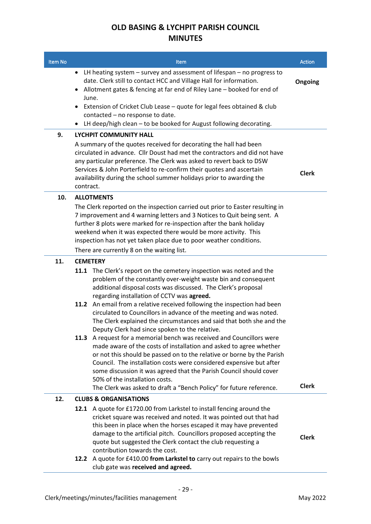## **OLD BASING & LYCHPIT PARISH COUNCIL MINUTES**

| Item No | <b>Item</b>                                                                                                                                                                                                                                                                                                                                                                                                                                                                                                                      | <b>Action</b> |
|---------|----------------------------------------------------------------------------------------------------------------------------------------------------------------------------------------------------------------------------------------------------------------------------------------------------------------------------------------------------------------------------------------------------------------------------------------------------------------------------------------------------------------------------------|---------------|
|         | LH heating system - survey and assessment of lifespan - no progress to<br>$\bullet$<br>date. Clerk still to contact HCC and Village Hall for information.<br>Allotment gates & fencing at far end of Riley Lane - booked for end of<br>$\bullet$<br>June.                                                                                                                                                                                                                                                                        | Ongoing       |
|         | Extension of Cricket Club Lease - quote for legal fees obtained & club<br>$\bullet$<br>contacted - no response to date.<br>LH deep/high clean - to be booked for August following decorating.                                                                                                                                                                                                                                                                                                                                    |               |
| 9.      | $\bullet$<br><b>LYCHPIT COMMUNITY HALL</b>                                                                                                                                                                                                                                                                                                                                                                                                                                                                                       |               |
|         | A summary of the quotes received for decorating the hall had been<br>circulated in advance. Cllr Doust had met the contractors and did not have<br>any particular preference. The Clerk was asked to revert back to DSW<br>Services & John Porterfield to re-confirm their quotes and ascertain<br>availability during the school summer holidays prior to awarding the<br>contract.                                                                                                                                             | <b>Clerk</b>  |
| 10.     | <b>ALLOTMENTS</b>                                                                                                                                                                                                                                                                                                                                                                                                                                                                                                                |               |
|         | The Clerk reported on the inspection carried out prior to Easter resulting in<br>7 improvement and 4 warning letters and 3 Notices to Quit being sent. A<br>further 8 plots were marked for re-inspection after the bank holiday<br>weekend when it was expected there would be more activity. This<br>inspection has not yet taken place due to poor weather conditions.<br>There are currently 8 on the waiting list.                                                                                                          |               |
| 11.     | <b>CEMETERY</b>                                                                                                                                                                                                                                                                                                                                                                                                                                                                                                                  |               |
|         | 11.1 The Clerk's report on the cemetery inspection was noted and the<br>problem of the constantly over-weight waste bin and consequent<br>additional disposal costs was discussed. The Clerk's proposal<br>regarding installation of CCTV was agreed.<br>An email from a relative received following the inspection had been<br>11.2<br>circulated to Councillors in advance of the meeting and was noted.<br>The Clerk explained the circumstances and said that both she and the                                               |               |
|         | Deputy Clerk had since spoken to the relative.<br>A request for a memorial bench was received and Councillors were<br>11.3<br>made aware of the costs of installation and asked to agree whether<br>or not this should be passed on to the relative or borne by the Parish<br>Council. The installation costs were considered expensive but after<br>some discussion it was agreed that the Parish Council should cover<br>50% of the installation costs.<br>The Clerk was asked to draft a "Bench Policy" for future reference. | <b>Clerk</b>  |
| 12.     | <b>CLUBS &amp; ORGANISATIONS</b>                                                                                                                                                                                                                                                                                                                                                                                                                                                                                                 |               |
|         | 12.1 A quote for £1720.00 from Larkstel to install fencing around the<br>cricket square was received and noted. It was pointed out that had<br>this been in place when the horses escaped it may have prevented<br>damage to the artificial pitch. Councillors proposed accepting the<br>quote but suggested the Clerk contact the club requesting a<br>contribution towards the cost.<br>12.2 A quote for £410.00 from Larkstel to carry out repairs to the bowls<br>club gate was received and agreed.                         | <b>Clerk</b>  |

- 29 -